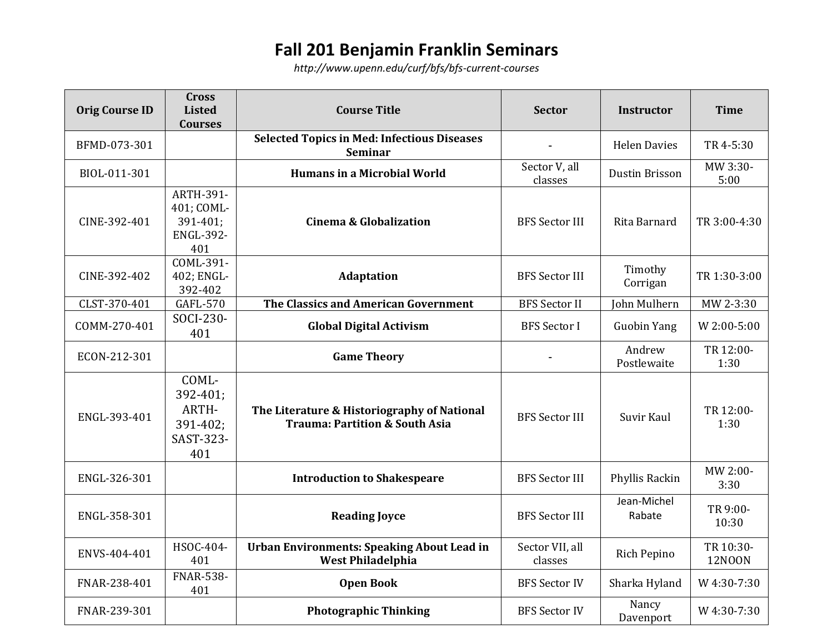## **Fall 201 Benjamin Franklin Seminars**

*<http://www.upenn.edu/curf/bfs/bfs-current-courses>*

| <b>Orig Course ID</b> | <b>Cross</b><br><b>Listed</b><br><b>Courses</b>                       | <b>Course Title</b>                                                                      | <b>Sector</b>              | <b>Instructor</b>     | <b>Time</b>                |
|-----------------------|-----------------------------------------------------------------------|------------------------------------------------------------------------------------------|----------------------------|-----------------------|----------------------------|
| BFMD-073-301          |                                                                       | <b>Selected Topics in Med: Infectious Diseases</b><br>Seminar                            |                            | <b>Helen Davies</b>   | TR 4-5:30                  |
| BIOL-011-301          |                                                                       | <b>Humans in a Microbial World</b>                                                       | Sector V, all<br>classes   | Dustin Brisson        | MW 3:30-<br>5:00           |
| CINE-392-401          | <b>ARTH-391-</b><br>401; COML-<br>391-401;<br><b>ENGL-392-</b><br>401 | <b>Cinema &amp; Globalization</b>                                                        | <b>BFS Sector III</b>      | Rita Barnard          | TR 3:00-4:30               |
| CINE-392-402          | COML-391-<br>402; ENGL-<br>392-402                                    | <b>Adaptation</b>                                                                        | <b>BFS Sector III</b>      | Timothy<br>Corrigan   | TR 1:30-3:00               |
| CLST-370-401          | <b>GAFL-570</b>                                                       | The Classics and American Government                                                     | <b>BFS</b> Sector II       | John Mulhern          | MW 2-3:30                  |
| COMM-270-401          | SOCI-230-<br>401                                                      | <b>Global Digital Activism</b>                                                           | <b>BFS</b> Sector I        | <b>Guobin Yang</b>    | W 2:00-5:00                |
| ECON-212-301          |                                                                       | <b>Game Theory</b>                                                                       |                            | Andrew<br>Postlewaite | TR 12:00-<br>1:30          |
| ENGL-393-401          | COML-<br>392-401;<br>ARTH-<br>391-402;<br>SAST-323-<br>401            | The Literature & Historiography of National<br><b>Trauma: Partition &amp; South Asia</b> | <b>BFS Sector III</b>      | Suvir Kaul            | TR 12:00-<br>1:30          |
| ENGL-326-301          |                                                                       | <b>Introduction to Shakespeare</b>                                                       | <b>BFS Sector III</b>      | Phyllis Rackin        | MW 2:00-<br>3:30           |
| ENGL-358-301          |                                                                       | <b>Reading Joyce</b>                                                                     | <b>BFS Sector III</b>      | Jean-Michel<br>Rabate | TR 9:00-<br>10:30          |
| ENVS-404-401          | HSOC-404-<br>401                                                      | <b>Urban Environments: Speaking About Lead in</b><br><b>West Philadelphia</b>            | Sector VII, all<br>classes | Rich Pepino           | TR 10:30-<br><b>12NOON</b> |
| FNAR-238-401          | <b>FNAR-538-</b><br>401                                               | <b>Open Book</b>                                                                         | <b>BFS Sector IV</b>       | Sharka Hyland         | W 4:30-7:30                |
| FNAR-239-301          |                                                                       | <b>Photographic Thinking</b>                                                             | <b>BFS Sector IV</b>       | Nancy<br>Davenport    | W 4:30-7:30                |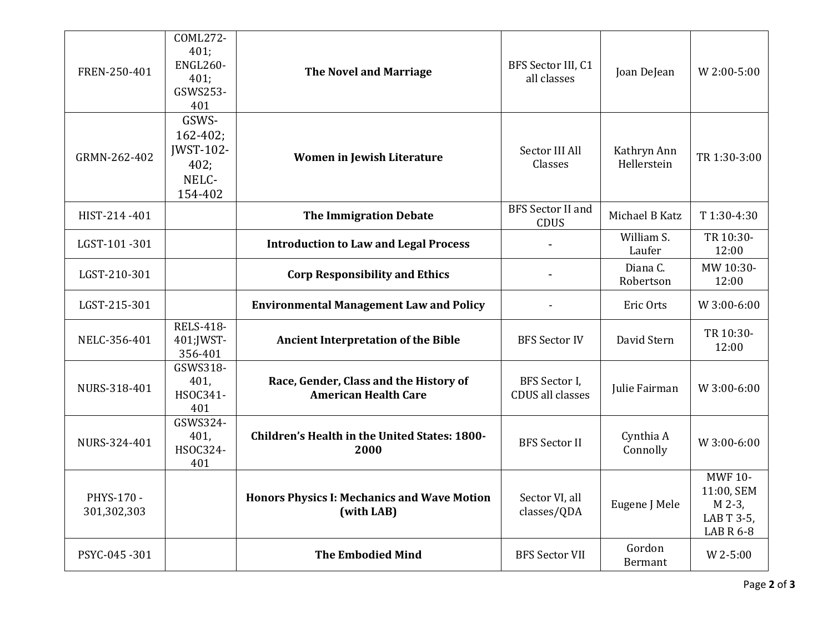| FREN-250-401              | COML272-<br>401;<br><b>ENGL260-</b><br>401;<br>GSWS253-<br>401         | <b>The Novel and Marriage</b>                                         | BFS Sector III, C1<br>all classes        | Joan DeJean                | W 2:00-5:00                                                              |
|---------------------------|------------------------------------------------------------------------|-----------------------------------------------------------------------|------------------------------------------|----------------------------|--------------------------------------------------------------------------|
| GRMN-262-402              | GSWS-<br>$162 - 402$ ;<br><b>IWST-102-</b><br>402;<br>NELC-<br>154-402 | Women in Jewish Literature                                            | Sector III All<br>Classes                | Kathryn Ann<br>Hellerstein | TR 1:30-3:00                                                             |
| HIST-214-401              |                                                                        | <b>The Immigration Debate</b>                                         | <b>BFS</b> Sector II and<br><b>CDUS</b>  | Michael B Katz             | T1:30-4:30                                                               |
| LGST-101-301              |                                                                        | <b>Introduction to Law and Legal Process</b>                          |                                          | William S.<br>Laufer       | TR 10:30-<br>12:00                                                       |
| LGST-210-301              |                                                                        | <b>Corp Responsibility and Ethics</b>                                 |                                          | Diana C.<br>Robertson      | MW 10:30-<br>12:00                                                       |
| LGST-215-301              |                                                                        | <b>Environmental Management Law and Policy</b>                        |                                          | Eric Orts                  | W 3:00-6:00                                                              |
| NELC-356-401              | <b>RELS-418-</b><br>401; JWST-<br>356-401                              | <b>Ancient Interpretation of the Bible</b>                            | <b>BFS Sector IV</b>                     | David Stern                | TR 10:30-<br>12:00                                                       |
| NURS-318-401              | GSWS318-<br>401,<br>HSOC341-<br>401                                    | Race, Gender, Class and the History of<br><b>American Health Care</b> | BFS Sector I,<br><b>CDUS</b> all classes | Julie Fairman              | W 3:00-6:00                                                              |
| NURS-324-401              | GSWS324-<br>401,<br>HSOC324-<br>401                                    | <b>Children's Health in the United States: 1800-</b><br>2000          | <b>BFS Sector II</b>                     | Cynthia A<br>Connolly      | W 3:00-6:00                                                              |
| PHYS-170 -<br>301,302,303 |                                                                        | <b>Honors Physics I: Mechanics and Wave Motion</b><br>(with LAB)      | Sector VI, all<br>classes/QDA            | Eugene J Mele              | <b>MWF 10-</b><br>11:00, SEM<br>M 2-3,<br>LAB T 3-5,<br><b>LAB R 6-8</b> |
| PSYC-045-301              |                                                                        | <b>The Embodied Mind</b>                                              | <b>BFS Sector VII</b>                    | Gordon<br><b>Bermant</b>   | W 2-5:00                                                                 |